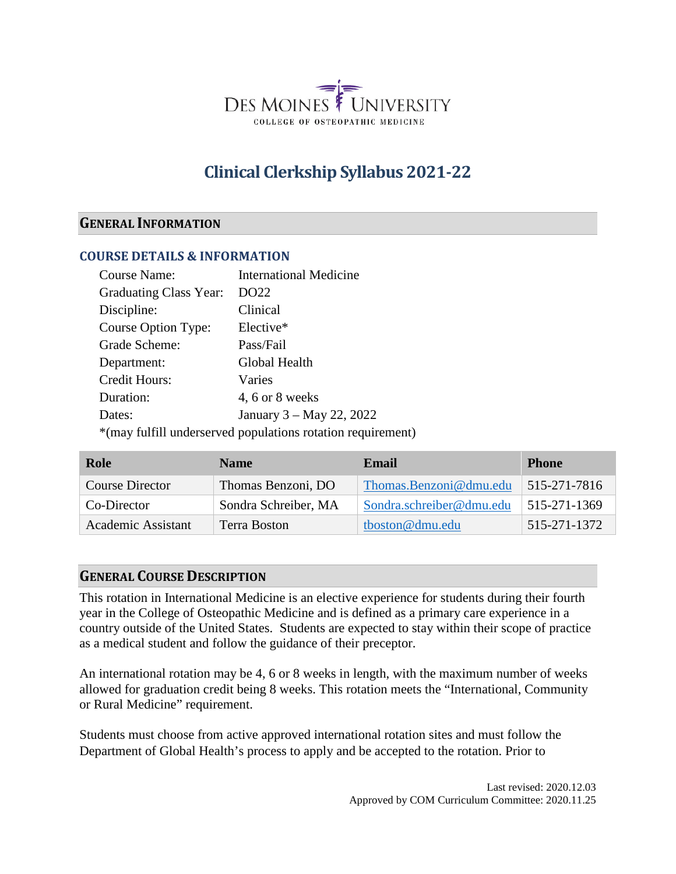

# **Clinical Clerkship Syllabus 2021-22**

### **GENERAL INFORMATION**

#### **COURSE DETAILS & INFORMATION**

| <b>Course Name:</b>    | <b>International Medicine</b>                               |
|------------------------|-------------------------------------------------------------|
| Graduating Class Year: | DO22                                                        |
| Discipline:            | Clinical                                                    |
| Course Option Type:    | Elective*                                                   |
| Grade Scheme:          | Pass/Fail                                                   |
| Department:            | Global Health                                               |
| Credit Hours:          | Varies                                                      |
| Duration:              | 4, 6 or 8 weeks                                             |
| Dates:                 | January 3 – May 22, 2022                                    |
|                        | *(may fulfill underserved populations rotation requirement) |

| Role                   | <b>Name</b>          | Email                    | <b>Phone</b> |
|------------------------|----------------------|--------------------------|--------------|
| <b>Course Director</b> | Thomas Benzoni, DO   | Thomas.Benzoni@dmu.edu   | 515-271-7816 |
| Co-Director            | Sondra Schreiber, MA | Sondra.schreiber@dmu.edu | 515-271-1369 |
| Academic Assistant     | Terra Boston         | tboston@dmu.edu          | 515-271-1372 |

### **GENERAL COURSE DESCRIPTION**

This rotation in International Medicine is an elective experience for students during their fourth year in the College of Osteopathic Medicine and is defined as a primary care experience in a country outside of the United States. Students are expected to stay within their scope of practice as a medical student and follow the guidance of their preceptor.

An international rotation may be 4, 6 or 8 weeks in length, with the maximum number of weeks allowed for graduation credit being 8 weeks. This rotation meets the "International, Community or Rural Medicine" requirement.

Students must choose from active approved international rotation sites and must follow the Department of Global Health's process to apply and be accepted to the rotation. Prior to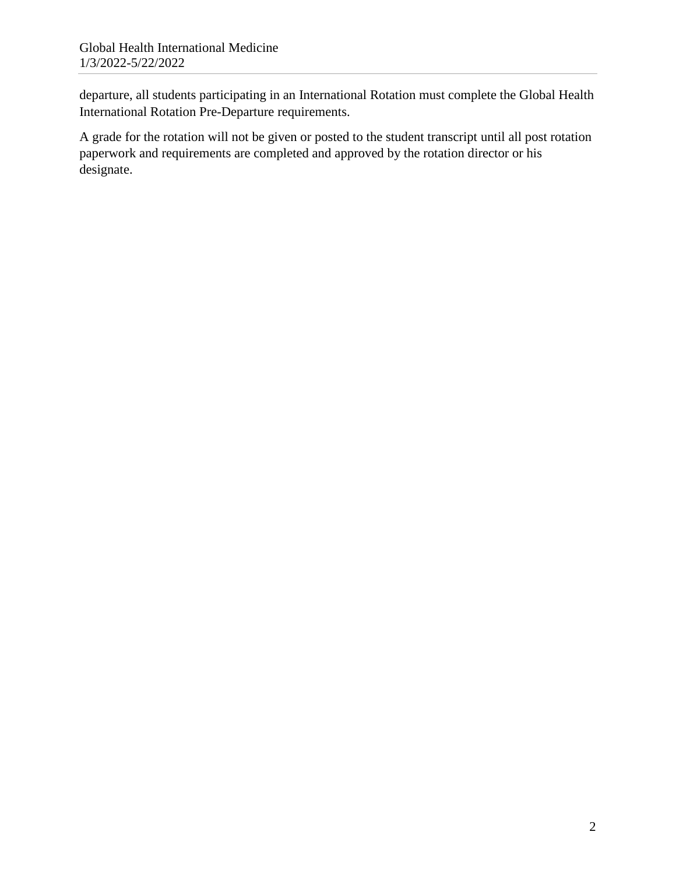departure, all students participating in an International Rotation must complete the Global Health International Rotation Pre-Departure requirements.

A grade for the rotation will not be given or posted to the student transcript until all post rotation paperwork and requirements are completed and approved by the rotation director or his designate.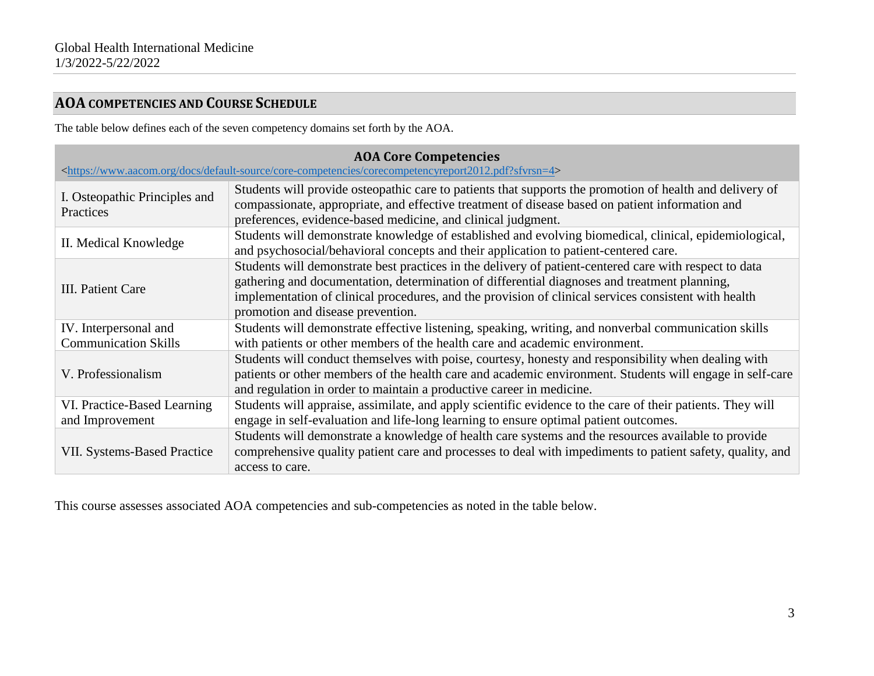# **AOA COMPETENCIES AND COURSE SCHEDULE**

The table below defines each of the seven competency domains set forth by the AOA.

| <b>AOA Core Competencies</b><br><https: core-competencies="" corecompetencyreport2012.pdf?sfvrsn="4" default-source="" docs="" www.aacom.org=""></https:> |                                                                                                                                                                                                                                                                                                                                                     |  |  |
|-----------------------------------------------------------------------------------------------------------------------------------------------------------|-----------------------------------------------------------------------------------------------------------------------------------------------------------------------------------------------------------------------------------------------------------------------------------------------------------------------------------------------------|--|--|
| I. Osteopathic Principles and<br>Practices                                                                                                                | Students will provide osteopathic care to patients that supports the promotion of health and delivery of<br>compassionate, appropriate, and effective treatment of disease based on patient information and<br>preferences, evidence-based medicine, and clinical judgment.                                                                         |  |  |
| II. Medical Knowledge                                                                                                                                     | Students will demonstrate knowledge of established and evolving biomedical, clinical, epidemiological,<br>and psychosocial/behavioral concepts and their application to patient-centered care.                                                                                                                                                      |  |  |
| III. Patient Care                                                                                                                                         | Students will demonstrate best practices in the delivery of patient-centered care with respect to data<br>gathering and documentation, determination of differential diagnoses and treatment planning,<br>implementation of clinical procedures, and the provision of clinical services consistent with health<br>promotion and disease prevention. |  |  |
| IV. Interpersonal and<br><b>Communication Skills</b>                                                                                                      | Students will demonstrate effective listening, speaking, writing, and nonverbal communication skills<br>with patients or other members of the health care and academic environment.                                                                                                                                                                 |  |  |
| V. Professionalism                                                                                                                                        | Students will conduct themselves with poise, courtesy, honesty and responsibility when dealing with<br>patients or other members of the health care and academic environment. Students will engage in self-care<br>and regulation in order to maintain a productive career in medicine.                                                             |  |  |
| VI. Practice-Based Learning<br>and Improvement                                                                                                            | Students will appraise, assimilate, and apply scientific evidence to the care of their patients. They will<br>engage in self-evaluation and life-long learning to ensure optimal patient outcomes.                                                                                                                                                  |  |  |
| <b>VII. Systems-Based Practice</b>                                                                                                                        | Students will demonstrate a knowledge of health care systems and the resources available to provide<br>comprehensive quality patient care and processes to deal with impediments to patient safety, quality, and<br>access to care.                                                                                                                 |  |  |

This course assesses associated AOA competencies and sub-competencies as noted in the table below.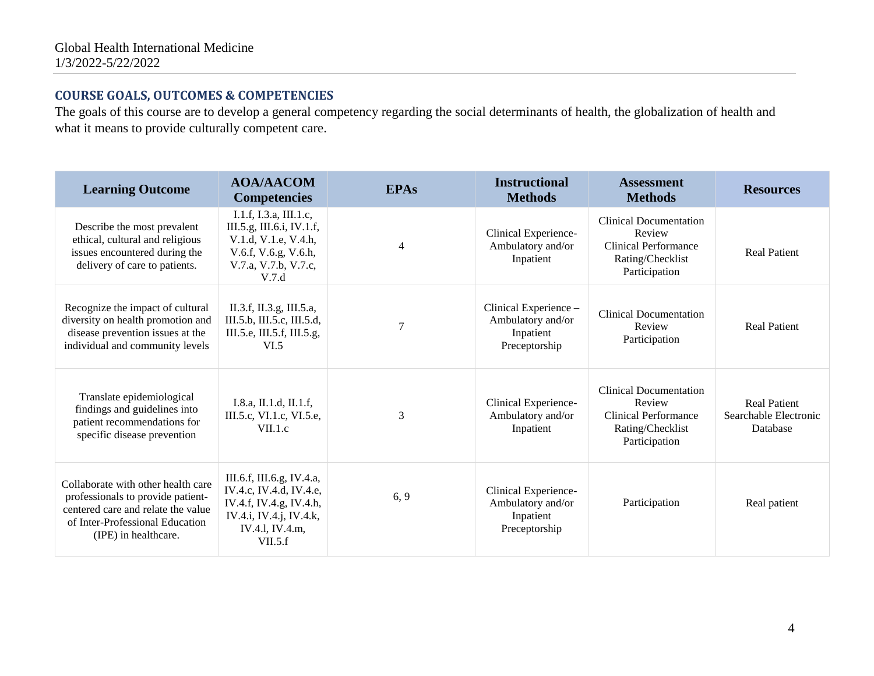## **COURSE GOALS, OUTCOMES & COMPETENCIES**

The goals of this course are to develop a general competency regarding the social determinants of health, the globalization of health and what it means to provide culturally competent care.

| <b>Learning Outcome</b>                                                                                                                                                  | <b>AOA/AACOM</b><br><b>Competencies</b>                                                                                                  | <b>EPAs</b>    | <b>Instructional</b><br><b>Methods</b>                                   | <b>Assessment</b><br><b>Methods</b>                                                                         | <b>Resources</b>                                         |
|--------------------------------------------------------------------------------------------------------------------------------------------------------------------------|------------------------------------------------------------------------------------------------------------------------------------------|----------------|--------------------------------------------------------------------------|-------------------------------------------------------------------------------------------------------------|----------------------------------------------------------|
| Describe the most prevalent<br>ethical, cultural and religious<br>issues encountered during the<br>delivery of care to patients.                                         | I.1.f, I.3.a, III.1.c,<br>III.5.g, III.6.i, IV.1.f,<br>V.1.d, V.1.e, V.4.h,<br>V.6.f, V.6.g, V.6.h,<br>V.7.a, V.7.b, V.7.c,<br>V.7.d     | $\overline{4}$ | Clinical Experience-<br>Ambulatory and/or<br>Inpatient                   | <b>Clinical Documentation</b><br>Review<br>Clinical Performance<br>Rating/Checklist<br>Participation        | <b>Real Patient</b>                                      |
| Recognize the impact of cultural<br>diversity on health promotion and<br>disease prevention issues at the<br>individual and community levels                             | II.3.f, II.3.g, III.5.a,<br>III.5.b, III.5.c, III.5.d,<br>III.5.e, III.5.f, III.5.g,<br>VI.5                                             | 7              | Clinical Experience -<br>Ambulatory and/or<br>Inpatient<br>Preceptorship | <b>Clinical Documentation</b><br>Review<br>Participation                                                    | <b>Real Patient</b>                                      |
| Translate epidemiological<br>findings and guidelines into<br>patient recommendations for<br>specific disease prevention                                                  | I.8.a, II.1.d, II.1.f,<br>III.5.c, VI.1.c, VI.5.e,<br>VII.1.c                                                                            | 3              | Clinical Experience-<br>Ambulatory and/or<br>Inpatient                   | <b>Clinical Documentation</b><br>Review<br><b>Clinical Performance</b><br>Rating/Checklist<br>Participation | <b>Real Patient</b><br>Searchable Electronic<br>Database |
| Collaborate with other health care<br>professionals to provide patient-<br>centered care and relate the value<br>of Inter-Professional Education<br>(IPE) in healthcare. | III.6.f, III.6.g, IV.4.a,<br>IV.4.c, IV.4.d, IV.4.e,<br>IV.4.f, IV.4.g, IV.4.h,<br>IV.4.i, IV.4.j, IV.4.k,<br>IV.4.1, IV.4.m,<br>VII.5.f | 6, 9           | Clinical Experience-<br>Ambulatory and/or<br>Inpatient<br>Preceptorship  | Participation                                                                                               | Real patient                                             |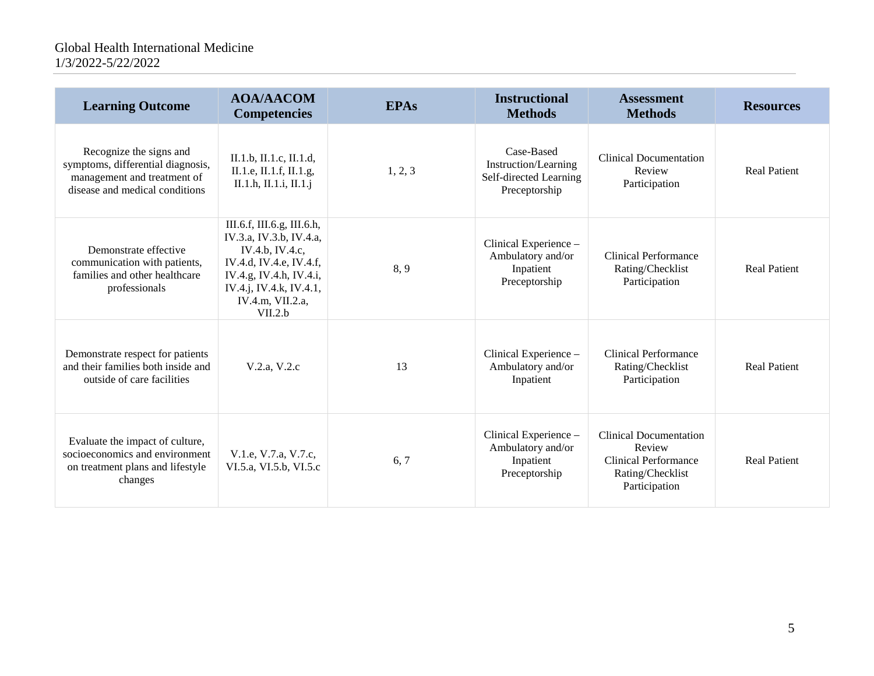| <b>Learning Outcome</b>                                                                                                       | <b>AOA/AACOM</b><br><b>Competencies</b>                                                                                                                                                  | <b>EPAs</b> | <b>Instructional</b><br><b>Methods</b>                                               | <b>Assessment</b><br><b>Methods</b>                                                                  | <b>Resources</b>    |
|-------------------------------------------------------------------------------------------------------------------------------|------------------------------------------------------------------------------------------------------------------------------------------------------------------------------------------|-------------|--------------------------------------------------------------------------------------|------------------------------------------------------------------------------------------------------|---------------------|
| Recognize the signs and<br>symptoms, differential diagnosis,<br>management and treatment of<br>disease and medical conditions | II.1.b, II.1.c, II.1.d,<br>II.1.e, II.1.f, II.1.g,<br>II.1.h, II.1.i, II.1.j                                                                                                             | 1, 2, 3     | Case-Based<br><b>Instruction/Learning</b><br>Self-directed Learning<br>Preceptorship | <b>Clinical Documentation</b><br>Review<br>Participation                                             | <b>Real Patient</b> |
| Demonstrate effective<br>communication with patients,<br>families and other healthcare<br>professionals                       | III.6.f, III.6.g, III.6.h,<br>IV.3.a, IV.3.b, IV.4.a,<br>IV.4.b. IV.4.c.<br>IV.4.d, IV.4.e, IV.4.f,<br>IV.4.g, IV.4.h, IV.4.i,<br>IV.4.j, IV.4.k, IV.4.1,<br>IV.4.m, VII.2.a,<br>VII.2.b | 8,9         | Clinical Experience -<br>Ambulatory and/or<br>Inpatient<br>Preceptorship             | <b>Clinical Performance</b><br>Rating/Checklist<br>Participation                                     | <b>Real Patient</b> |
| Demonstrate respect for patients<br>and their families both inside and<br>outside of care facilities                          | V.2.a, V.2.c                                                                                                                                                                             | 13          | Clinical Experience -<br>Ambulatory and/or<br>Inpatient                              | Clinical Performance<br>Rating/Checklist<br>Participation                                            | <b>Real Patient</b> |
| Evaluate the impact of culture,<br>socioeconomics and environment<br>on treatment plans and lifestyle<br>changes              | V.1.e, V.7.a, V.7.c,<br>VI.5.a, VI.5.b, VI.5.c                                                                                                                                           | 6, 7        | Clinical Experience -<br>Ambulatory and/or<br>Inpatient<br>Preceptorship             | <b>Clinical Documentation</b><br>Review<br>Clinical Performance<br>Rating/Checklist<br>Participation | <b>Real Patient</b> |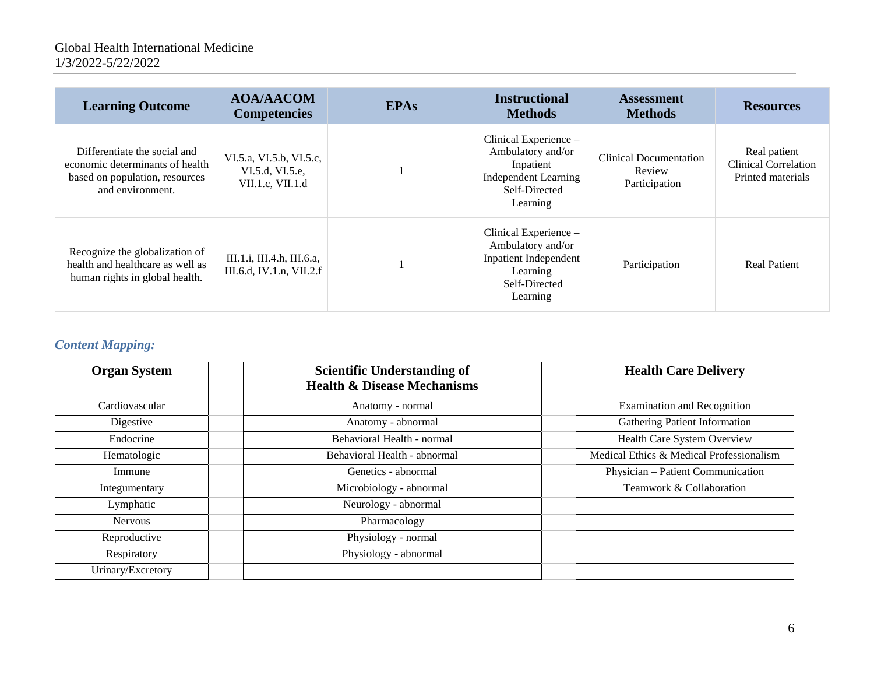| <b>Learning Outcome</b>                                                                                               | <b>AOA/AACOM</b><br><b>Competencies</b>                        | <b>EPAs</b> | <b>Instructional</b><br><b>Methods</b>                                                                              | <b>Assessment</b><br><b>Methods</b>                      | <b>Resources</b>                                                 |
|-----------------------------------------------------------------------------------------------------------------------|----------------------------------------------------------------|-------------|---------------------------------------------------------------------------------------------------------------------|----------------------------------------------------------|------------------------------------------------------------------|
| Differentiate the social and<br>economic determinants of health<br>based on population, resources<br>and environment. | VI.5.a, VI.5.b, VI.5.c,<br>VI.5.d, VI.5.e,<br>VII.1.c, VII.1.d |             | Clinical Experience -<br>Ambulatory and/or<br>Inpatient<br><b>Independent Learning</b><br>Self-Directed<br>Learning | <b>Clinical Documentation</b><br>Review<br>Participation | Real patient<br><b>Clinical Correlation</b><br>Printed materials |
| Recognize the globalization of<br>health and healthcare as well as<br>human rights in global health.                  | III.1.i, III.4.h, III.6.a,<br>III.6.d, IV.1.n, VII.2.f         |             | Clinical Experience –<br>Ambulatory and/or<br><b>Inpatient Independent</b><br>Learning<br>Self-Directed<br>Learning | Participation                                            | <b>Real Patient</b>                                              |

# *Content Mapping:*

| <b>Organ System</b> | <b>Scientific Understanding of</b><br><b>Health &amp; Disease Mechanisms</b> | <b>Health Care Delivery</b>              |
|---------------------|------------------------------------------------------------------------------|------------------------------------------|
| Cardiovascular      | Anatomy - normal                                                             | <b>Examination and Recognition</b>       |
| Digestive           | Anatomy - abnormal                                                           | <b>Gathering Patient Information</b>     |
| Endocrine           | Behavioral Health - normal                                                   | Health Care System Overview              |
| Hematologic         | Behavioral Health - abnormal                                                 | Medical Ethics & Medical Professionalism |
| Immune              | Genetics - abnormal                                                          | Physician - Patient Communication        |
| Integumentary       | Microbiology - abnormal                                                      | Teamwork & Collaboration                 |
| Lymphatic           | Neurology - abnormal                                                         |                                          |
| <b>Nervous</b>      | Pharmacology                                                                 |                                          |
| Reproductive        | Physiology - normal                                                          |                                          |
| Respiratory         | Physiology - abnormal                                                        |                                          |
| Urinary/Excretory   |                                                                              |                                          |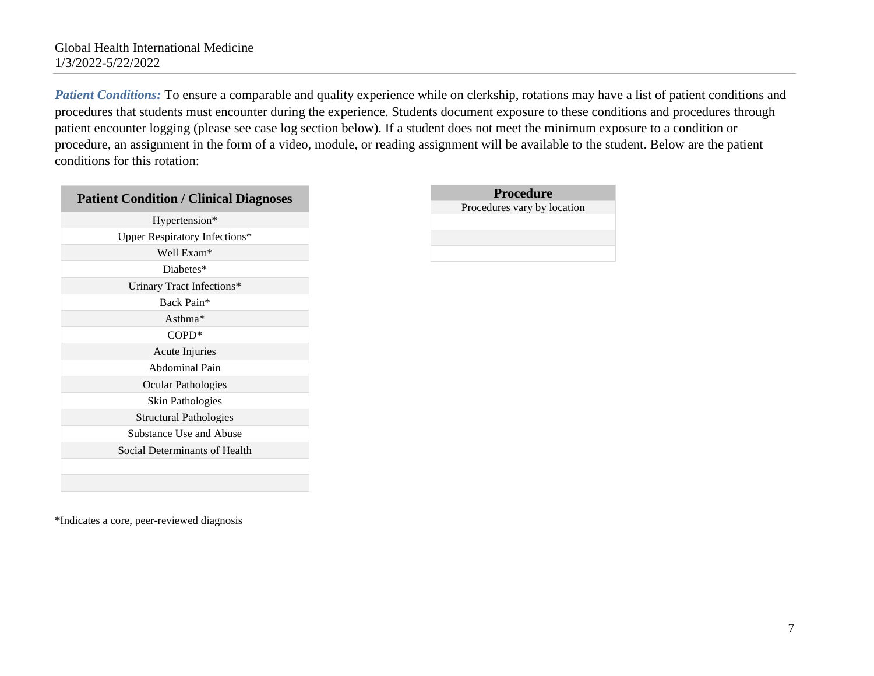*Patient Conditions:* To ensure a comparable and quality experience while on clerkship, rotations may have a list of patient conditions and procedures that students must encounter during the experience. Students document exposure to these conditions and procedures through patient encounter logging (please see case log section below). If a student does not meet the minimum exposure to a condition or procedure, an assignment in the form of a video, module, or reading assignment will be available to the student. Below are the patient conditions for this rotation:

| <b>Patient Condition / Clinical Diagnoses</b> |
|-----------------------------------------------|
| Hypertension*                                 |
| Upper Respiratory Infections*                 |
| Well Exam*                                    |
| Diabetes*                                     |
| Urinary Tract Infections*                     |
| Back Pain*                                    |
| Asthma $*$                                    |
| $COPD*$                                       |
| Acute Injuries                                |
| Abdominal Pain                                |
| Ocular Pathologies                            |
| Skin Pathologies                              |
| Structural Pathologies                        |
| Substance Use and Abuse                       |
| Social Determinants of Health                 |
|                                               |
|                                               |

| <b>Procedure</b>            |  |  |
|-----------------------------|--|--|
| Procedures vary by location |  |  |
|                             |  |  |
|                             |  |  |
|                             |  |  |

\*Indicates a core, peer-reviewed diagnosis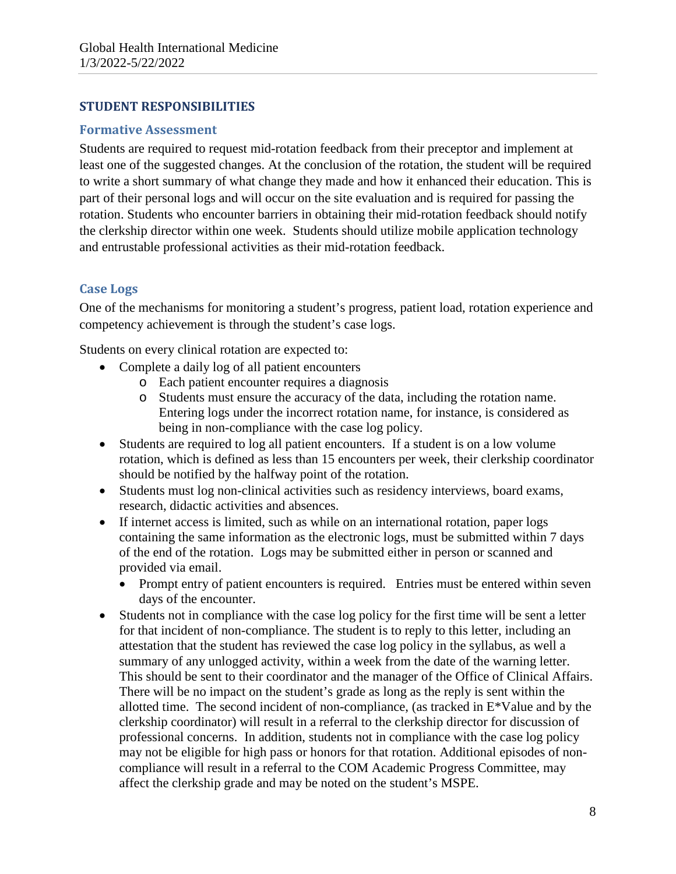### **STUDENT RESPONSIBILITIES**

#### **Formative Assessment**

Students are required to request mid-rotation feedback from their preceptor and implement at least one of the suggested changes. At the conclusion of the rotation, the student will be required to write a short summary of what change they made and how it enhanced their education. This is part of their personal logs and will occur on the site evaluation and is required for passing the rotation. Students who encounter barriers in obtaining their mid-rotation feedback should notify the clerkship director within one week. Students should utilize mobile application technology and entrustable professional activities as their mid-rotation feedback.

### **Case Logs**

One of the mechanisms for monitoring a student's progress, patient load, rotation experience and competency achievement is through the student's case logs.

Students on every clinical rotation are expected to:

- Complete a daily log of all patient encounters
	- o Each patient encounter requires a diagnosis
	- o Students must ensure the accuracy of the data, including the rotation name. Entering logs under the incorrect rotation name, for instance, is considered as being in non-compliance with the case log policy.
- Students are required to log all patient encounters. If a student is on a low volume rotation, which is defined as less than 15 encounters per week, their clerkship coordinator should be notified by the halfway point of the rotation.
- Students must log non-clinical activities such as residency interviews, board exams, research, didactic activities and absences.
- If internet access is limited, such as while on an international rotation, paper logs containing the same information as the electronic logs, must be submitted within 7 days of the end of the rotation. Logs may be submitted either in person or scanned and provided via email.
	- Prompt entry of patient encounters is required. Entries must be entered within seven days of the encounter.
- Students not in compliance with the case log policy for the first time will be sent a letter for that incident of non-compliance. The student is to reply to this letter, including an attestation that the student has reviewed the case log policy in the syllabus, as well a summary of any unlogged activity, within a week from the date of the warning letter. This should be sent to their coordinator and the manager of the Office of Clinical Affairs. There will be no impact on the student's grade as long as the reply is sent within the allotted time. The second incident of non-compliance, (as tracked in E\*Value and by the clerkship coordinator) will result in a referral to the clerkship director for discussion of professional concerns. In addition, students not in compliance with the case log policy may not be eligible for high pass or honors for that rotation. Additional episodes of noncompliance will result in a referral to the COM Academic Progress Committee, may affect the clerkship grade and may be noted on the student's MSPE.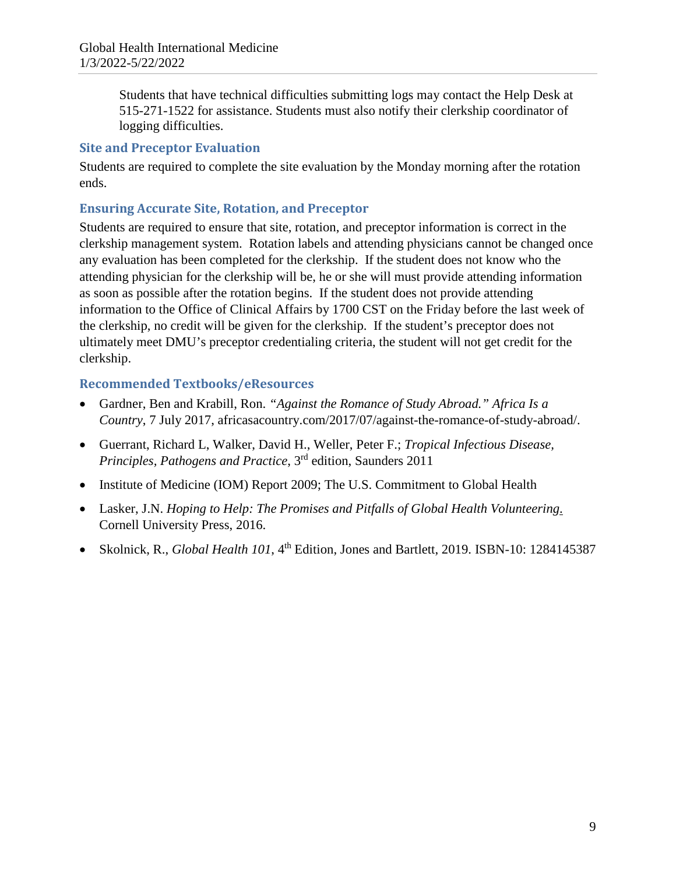Students that have technical difficulties submitting logs may contact the Help Desk at 515-271-1522 for assistance. Students must also notify their clerkship coordinator of logging difficulties.

### **Site and Preceptor Evaluation**

Students are required to complete the site evaluation by the Monday morning after the rotation ends.

## **Ensuring Accurate Site, Rotation, and Preceptor**

Students are required to ensure that site, rotation, and preceptor information is correct in the clerkship management system. Rotation labels and attending physicians cannot be changed once any evaluation has been completed for the clerkship. If the student does not know who the attending physician for the clerkship will be, he or she will must provide attending information as soon as possible after the rotation begins. If the student does not provide attending information to the Office of Clinical Affairs by 1700 CST on the Friday before the last week of the clerkship, no credit will be given for the clerkship. If the student's preceptor does not ultimately meet DMU's preceptor credentialing criteria, the student will not get credit for the clerkship.

### **Recommended Textbooks/eResources**

- Gardner, Ben and Krabill, Ron. *"Against the Romance of Study Abroad." Africa Is a Country*, 7 July 2017, africasacountry.com/2017/07/against-the-romance-of-study-abroad/.
- Guerrant, Richard L, Walker, David H., Weller, Peter F.; *Tropical Infectious Disease, Principles, Pathogens and Practice*, 3rd edition, Saunders 2011
- Institute of Medicine (IOM) Report 2009; The U.S. Commitment to Global Health
- Lasker, J.N. *Hoping to Help: The Promises and Pitfalls of Global Health Volunteering*. Cornell University Press, 2016.
- Skolnick, R., *Global Health 101*, 4<sup>th</sup> Edition, Jones and Bartlett, 2019. ISBN-10: 1284145387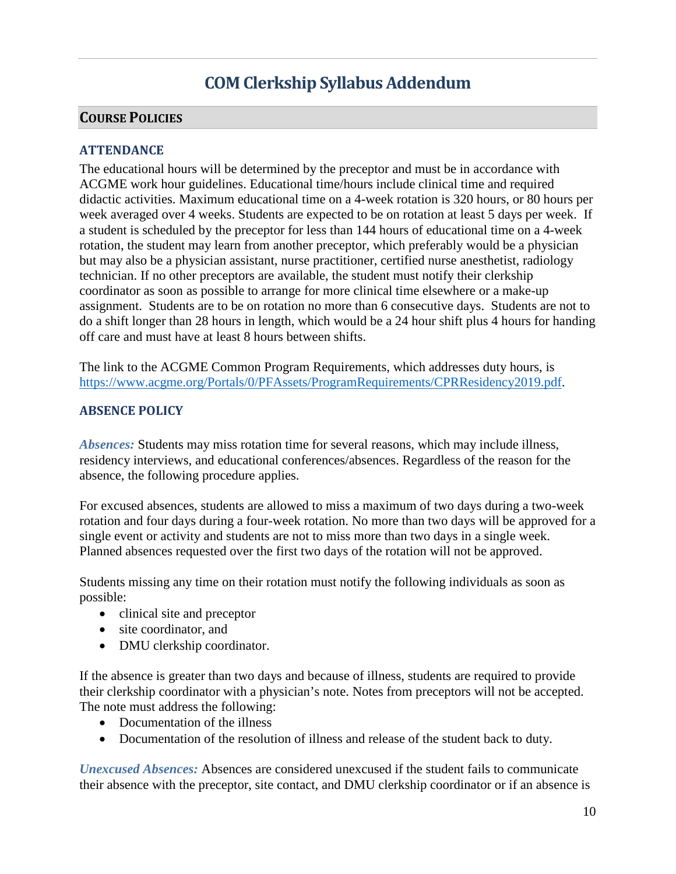# **COM Clerkship Syllabus Addendum**

### **COURSE POLICIES**

### **ATTENDANCE**

The educational hours will be determined by the preceptor and must be in accordance with ACGME work hour guidelines. Educational time/hours include clinical time and required didactic activities. Maximum educational time on a 4-week rotation is 320 hours, or 80 hours per week averaged over 4 weeks. Students are expected to be on rotation at least 5 days per week. If a student is scheduled by the preceptor for less than 144 hours of educational time on a 4-week rotation, the student may learn from another preceptor, which preferably would be a physician but may also be a physician assistant, nurse practitioner, certified nurse anesthetist, radiology technician. If no other preceptors are available, the student must notify their clerkship coordinator as soon as possible to arrange for more clinical time elsewhere or a make-up assignment. Students are to be on rotation no more than 6 consecutive days. Students are not to do a shift longer than 28 hours in length, which would be a 24 hour shift plus 4 hours for handing off care and must have at least 8 hours between shifts.

The link to the ACGME Common Program Requirements, which addresses duty hours, is [https://www.acgme.org/Portals/0/PFAssets/ProgramRequirements/CPRResidency2019.pdf.](https://www.acgme.org/Portals/0/PFAssets/ProgramRequirements/CPRResidency2019.pdf)

### **ABSENCE POLICY**

*Absences:* Students may miss rotation time for several reasons, which may include illness, residency interviews, and educational conferences/absences. Regardless of the reason for the absence, the following procedure applies.

For excused absences, students are allowed to miss a maximum of two days during a two-week rotation and four days during a four-week rotation. No more than two days will be approved for a single event or activity and students are not to miss more than two days in a single week. Planned absences requested over the first two days of the rotation will not be approved.

Students missing any time on their rotation must notify the following individuals as soon as possible:

- clinical site and preceptor
- site coordinator, and
- DMU clerkship coordinator.

If the absence is greater than two days and because of illness, students are required to provide their clerkship coordinator with a physician's note. Notes from preceptors will not be accepted. The note must address the following:

- Documentation of the illness
- Documentation of the resolution of illness and release of the student back to duty.

*Unexcused Absences:* Absences are considered unexcused if the student fails to communicate their absence with the preceptor, site contact, and DMU clerkship coordinator or if an absence is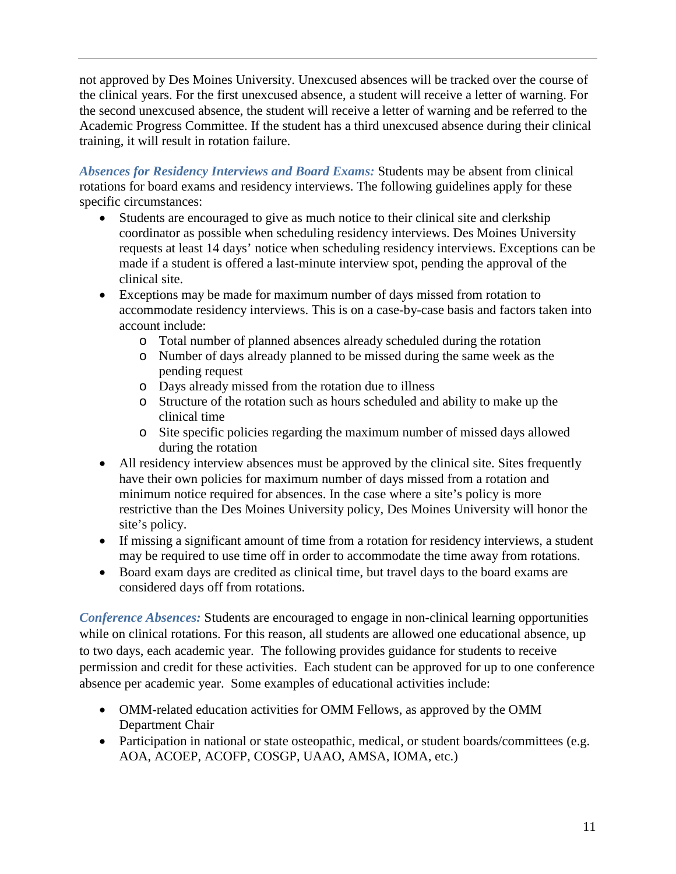not approved by Des Moines University. Unexcused absences will be tracked over the course of the clinical years. For the first unexcused absence, a student will receive a letter of warning. For the second unexcused absence, the student will receive a letter of warning and be referred to the Academic Progress Committee. If the student has a third unexcused absence during their clinical training, it will result in rotation failure.

*Absences for Residency Interviews and Board Exams:* Students may be absent from clinical rotations for board exams and residency interviews. The following guidelines apply for these specific circumstances:

- Students are encouraged to give as much notice to their clinical site and clerkship coordinator as possible when scheduling residency interviews. Des Moines University requests at least 14 days' notice when scheduling residency interviews. Exceptions can be made if a student is offered a last-minute interview spot, pending the approval of the clinical site.
- Exceptions may be made for maximum number of days missed from rotation to accommodate residency interviews. This is on a case-by-case basis and factors taken into account include:
	- o Total number of planned absences already scheduled during the rotation
	- o Number of days already planned to be missed during the same week as the pending request
	- o Days already missed from the rotation due to illness
	- o Structure of the rotation such as hours scheduled and ability to make up the clinical time
	- o Site specific policies regarding the maximum number of missed days allowed during the rotation
- All residency interview absences must be approved by the clinical site. Sites frequently have their own policies for maximum number of days missed from a rotation and minimum notice required for absences. In the case where a site's policy is more restrictive than the Des Moines University policy, Des Moines University will honor the site's policy.
- If missing a significant amount of time from a rotation for residency interviews, a student may be required to use time off in order to accommodate the time away from rotations.
- Board exam days are credited as clinical time, but travel days to the board exams are considered days off from rotations.

*Conference Absences:* Students are encouraged to engage in non-clinical learning opportunities while on clinical rotations. For this reason, all students are allowed one educational absence, up to two days, each academic year. The following provides guidance for students to receive permission and credit for these activities. Each student can be approved for up to one conference absence per academic year. Some examples of educational activities include:

- OMM-related education activities for OMM Fellows, as approved by the OMM Department Chair
- Participation in national or state osteopathic, medical, or student boards/committees (e.g. AOA, ACOEP, ACOFP, COSGP, UAAO, AMSA, IOMA, etc.)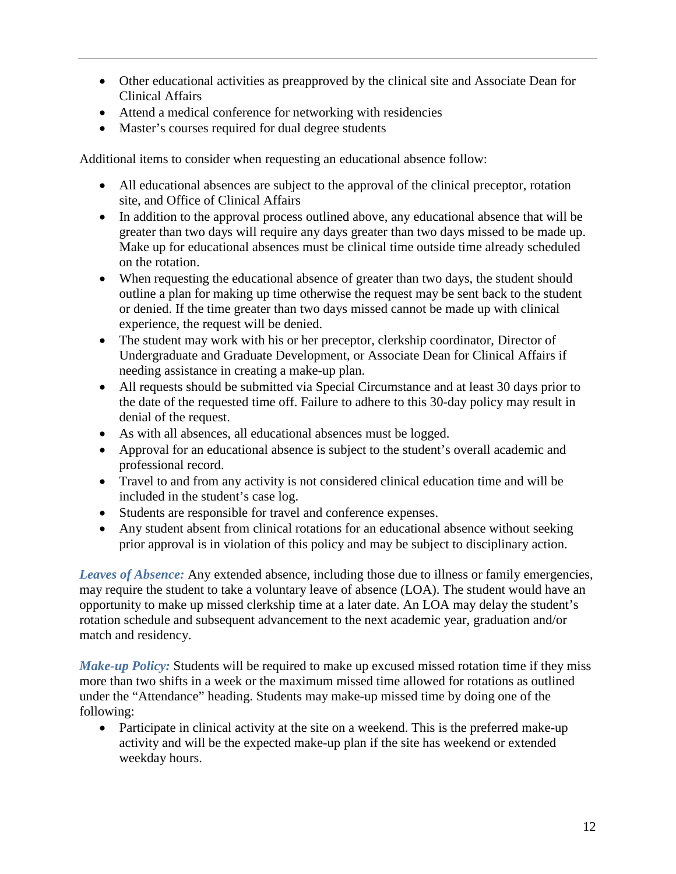- Other educational activities as preapproved by the clinical site and Associate Dean for Clinical Affairs
- Attend a medical conference for networking with residencies
- Master's courses required for dual degree students

Additional items to consider when requesting an educational absence follow:

- All educational absences are subject to the approval of the clinical preceptor, rotation site, and Office of Clinical Affairs
- In addition to the approval process outlined above, any educational absence that will be greater than two days will require any days greater than two days missed to be made up. Make up for educational absences must be clinical time outside time already scheduled on the rotation.
- When requesting the educational absence of greater than two days, the student should outline a plan for making up time otherwise the request may be sent back to the student or denied. If the time greater than two days missed cannot be made up with clinical experience, the request will be denied.
- The student may work with his or her preceptor, clerkship coordinator, Director of Undergraduate and Graduate Development, or Associate Dean for Clinical Affairs if needing assistance in creating a make-up plan.
- All requests should be submitted via Special Circumstance and at least 30 days prior to the date of the requested time off. Failure to adhere to this 30-day policy may result in denial of the request.
- As with all absences, all educational absences must be logged.
- Approval for an educational absence is subject to the student's overall academic and professional record.
- Travel to and from any activity is not considered clinical education time and will be included in the student's case log.
- Students are responsible for travel and conference expenses.
- Any student absent from clinical rotations for an educational absence without seeking prior approval is in violation of this policy and may be subject to disciplinary action.

*Leaves of Absence:* Any extended absence, including those due to illness or family emergencies, may require the student to take a voluntary leave of absence (LOA). The student would have an opportunity to make up missed clerkship time at a later date. An LOA may delay the student's rotation schedule and subsequent advancement to the next academic year, graduation and/or match and residency.

*Make-up Policy:* Students will be required to make up excused missed rotation time if they miss more than two shifts in a week or the maximum missed time allowed for rotations as outlined under the "Attendance" heading. Students may make-up missed time by doing one of the following:

• Participate in clinical activity at the site on a weekend. This is the preferred make-up activity and will be the expected make-up plan if the site has weekend or extended weekday hours.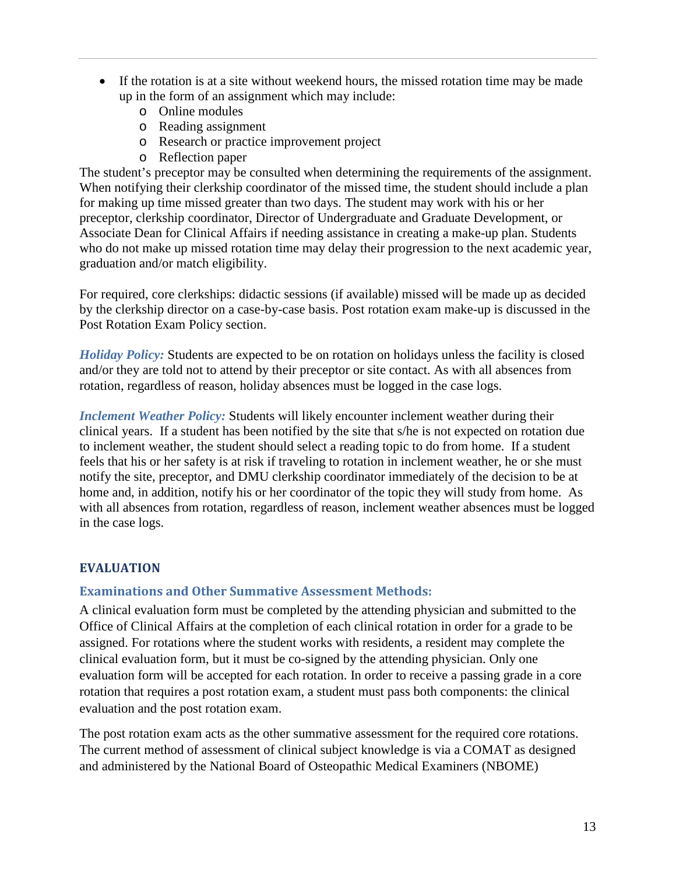- If the rotation is at a site without weekend hours, the missed rotation time may be made up in the form of an assignment which may include:
	- o Online modules
	- o Reading assignment
	- o Research or practice improvement project
	- o Reflection paper

The student's preceptor may be consulted when determining the requirements of the assignment. When notifying their clerkship coordinator of the missed time, the student should include a plan for making up time missed greater than two days. The student may work with his or her preceptor, clerkship coordinator, Director of Undergraduate and Graduate Development, or Associate Dean for Clinical Affairs if needing assistance in creating a make-up plan. Students who do not make up missed rotation time may delay their progression to the next academic year, graduation and/or match eligibility.

For required, core clerkships: didactic sessions (if available) missed will be made up as decided by the clerkship director on a case-by-case basis. Post rotation exam make-up is discussed in the Post Rotation Exam Policy section.

*Holiday Policy:* Students are expected to be on rotation on holidays unless the facility is closed and/or they are told not to attend by their preceptor or site contact. As with all absences from rotation, regardless of reason, holiday absences must be logged in the case logs.

*Inclement Weather Policy:* Students will likely encounter inclement weather during their clinical years. If a student has been notified by the site that s/he is not expected on rotation due to inclement weather, the student should select a reading topic to do from home. If a student feels that his or her safety is at risk if traveling to rotation in inclement weather, he or she must notify the site, preceptor, and DMU clerkship coordinator immediately of the decision to be at home and, in addition, notify his or her coordinator of the topic they will study from home. As with all absences from rotation, regardless of reason, inclement weather absences must be logged in the case logs.

### **EVALUATION**

### **Examinations and Other Summative Assessment Methods:**

A clinical evaluation form must be completed by the attending physician and submitted to the Office of Clinical Affairs at the completion of each clinical rotation in order for a grade to be assigned. For rotations where the student works with residents, a resident may complete the clinical evaluation form, but it must be co-signed by the attending physician. Only one evaluation form will be accepted for each rotation. In order to receive a passing grade in a core rotation that requires a post rotation exam, a student must pass both components: the clinical evaluation and the post rotation exam.

The post rotation exam acts as the other summative assessment for the required core rotations. The current method of assessment of clinical subject knowledge is via a COMAT as designed and administered by the National Board of Osteopathic Medical Examiners (NBOME)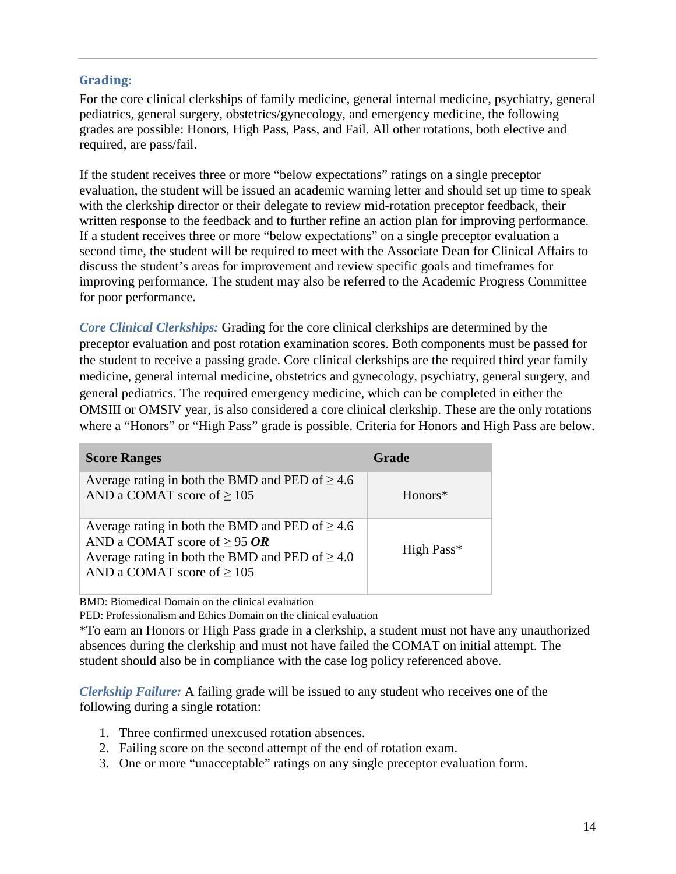### **Grading:**

For the core clinical clerkships of family medicine, general internal medicine, psychiatry, general pediatrics, general surgery, obstetrics/gynecology, and emergency medicine, the following grades are possible: Honors, High Pass, Pass, and Fail. All other rotations, both elective and required, are pass/fail.

If the student receives three or more "below expectations" ratings on a single preceptor evaluation, the student will be issued an academic warning letter and should set up time to speak with the clerkship director or their delegate to review mid-rotation preceptor feedback, their written response to the feedback and to further refine an action plan for improving performance. If a student receives three or more "below expectations" on a single preceptor evaluation a second time, the student will be required to meet with the Associate Dean for Clinical Affairs to discuss the student's areas for improvement and review specific goals and timeframes for improving performance. The student may also be referred to the Academic Progress Committee for poor performance.

*Core Clinical Clerkships:* Grading for the core clinical clerkships are determined by the preceptor evaluation and post rotation examination scores. Both components must be passed for the student to receive a passing grade. Core clinical clerkships are the required third year family medicine, general internal medicine, obstetrics and gynecology, psychiatry, general surgery, and general pediatrics. The required emergency medicine, which can be completed in either the OMSIII or OMSIV year, is also considered a core clinical clerkship. These are the only rotations where a "Honors" or "High Pass" grade is possible. Criteria for Honors and High Pass are below.

| <b>Score Ranges</b>                                                                                                                                                                  | <b>Grade</b> |
|--------------------------------------------------------------------------------------------------------------------------------------------------------------------------------------|--------------|
| Average rating in both the BMD and PED of $\geq 4.6$<br>AND a COMAT score of $\geq$ 105                                                                                              | Honors*      |
| Average rating in both the BMD and PED of $\geq 4.6$<br>AND a COMAT score of $\geq$ 95 OR<br>Average rating in both the BMD and PED of $\geq 4.0$<br>AND a COMAT score of $\geq 105$ | High Pass*   |

BMD: Biomedical Domain on the clinical evaluation

PED: Professionalism and Ethics Domain on the clinical evaluation

\*To earn an Honors or High Pass grade in a clerkship, a student must not have any unauthorized absences during the clerkship and must not have failed the COMAT on initial attempt. The student should also be in compliance with the case log policy referenced above.

*Clerkship Failure:* A failing grade will be issued to any student who receives one of the following during a single rotation:

- 1. Three confirmed unexcused rotation absences.
- 2. Failing score on the second attempt of the end of rotation exam.
- 3. One or more "unacceptable" ratings on any single preceptor evaluation form.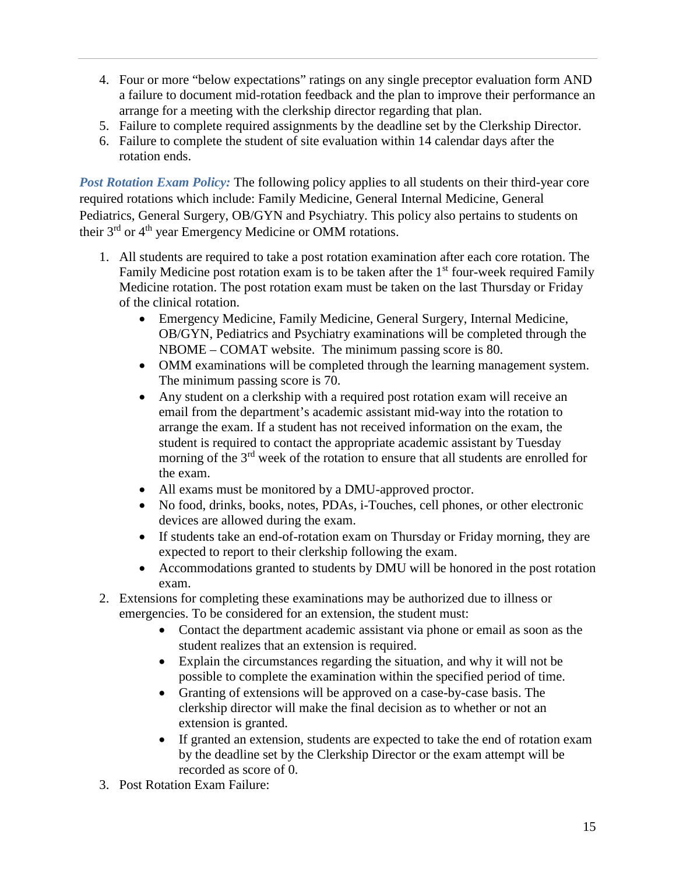- 4. Four or more "below expectations" ratings on any single preceptor evaluation form AND a failure to document mid-rotation feedback and the plan to improve their performance an arrange for a meeting with the clerkship director regarding that plan.
- 5. Failure to complete required assignments by the deadline set by the Clerkship Director.
- 6. Failure to complete the student of site evaluation within 14 calendar days after the rotation ends.

*Post Rotation Exam Policy:* The following policy applies to all students on their third-year core required rotations which include: Family Medicine, General Internal Medicine, General Pediatrics, General Surgery, OB/GYN and Psychiatry. This policy also pertains to students on their 3<sup>rd</sup> or 4<sup>th</sup> year Emergency Medicine or OMM rotations.

- 1. All students are required to take a post rotation examination after each core rotation. The Family Medicine post rotation exam is to be taken after the  $1<sup>st</sup>$  four-week required Family Medicine rotation. The post rotation exam must be taken on the last Thursday or Friday of the clinical rotation.
	- Emergency Medicine, Family Medicine, General Surgery, Internal Medicine, OB/GYN, Pediatrics and Psychiatry examinations will be completed through the NBOME – COMAT website. The minimum passing score is 80.
	- OMM examinations will be completed through the learning management system. The minimum passing score is 70.
	- Any student on a clerkship with a required post rotation exam will receive an email from the department's academic assistant mid-way into the rotation to arrange the exam. If a student has not received information on the exam, the student is required to contact the appropriate academic assistant by Tuesday morning of the 3<sup>rd</sup> week of the rotation to ensure that all students are enrolled for the exam.
	- All exams must be monitored by a DMU-approved proctor.
	- No food, drinks, books, notes, PDAs, i-Touches, cell phones, or other electronic devices are allowed during the exam.
	- If students take an end-of-rotation exam on Thursday or Friday morning, they are expected to report to their clerkship following the exam.
	- Accommodations granted to students by DMU will be honored in the post rotation exam.
- 2. Extensions for completing these examinations may be authorized due to illness or emergencies. To be considered for an extension, the student must:
	- Contact the department academic assistant via phone or email as soon as the student realizes that an extension is required.
	- Explain the circumstances regarding the situation, and why it will not be possible to complete the examination within the specified period of time.
	- Granting of extensions will be approved on a case-by-case basis. The clerkship director will make the final decision as to whether or not an extension is granted.
	- If granted an extension, students are expected to take the end of rotation exam by the deadline set by the Clerkship Director or the exam attempt will be recorded as score of 0.
- 3. Post Rotation Exam Failure: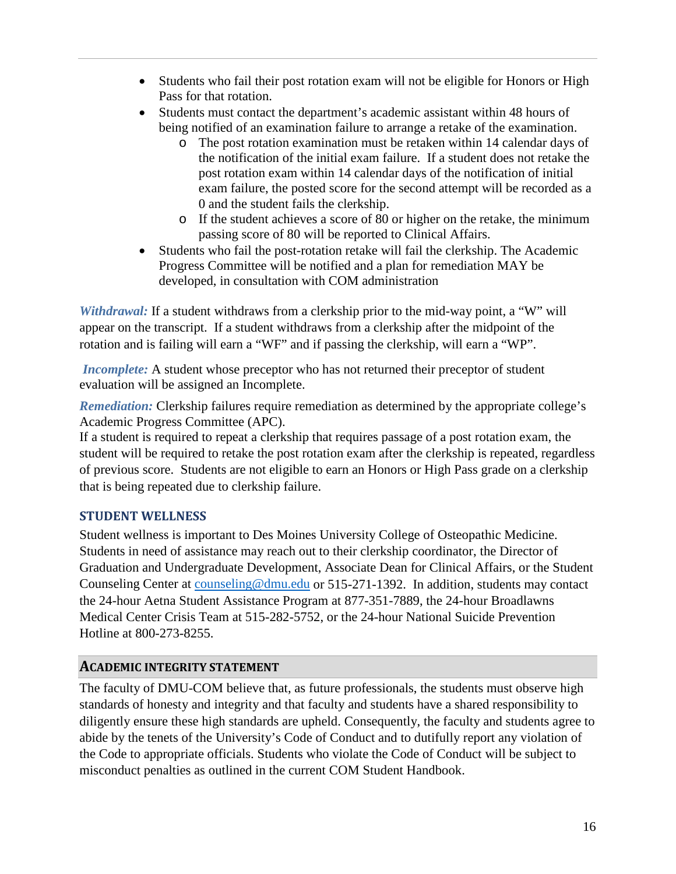- Students who fail their post rotation exam will not be eligible for Honors or High Pass for that rotation.
- Students must contact the department's academic assistant within 48 hours of being notified of an examination failure to arrange a retake of the examination.
	- o The post rotation examination must be retaken within 14 calendar days of the notification of the initial exam failure. If a student does not retake the post rotation exam within 14 calendar days of the notification of initial exam failure, the posted score for the second attempt will be recorded as a 0 and the student fails the clerkship.
	- o If the student achieves a score of 80 or higher on the retake, the minimum passing score of 80 will be reported to Clinical Affairs.
- Students who fail the post-rotation retake will fail the clerkship. The Academic Progress Committee will be notified and a plan for remediation MAY be developed, in consultation with COM administration

*Withdrawal:* If a student withdraws from a clerkship prior to the mid-way point, a "W" will appear on the transcript. If a student withdraws from a clerkship after the midpoint of the rotation and is failing will earn a "WF" and if passing the clerkship, will earn a "WP".

*Incomplete:* A student whose preceptor who has not returned their preceptor of student evaluation will be assigned an Incomplete.

*Remediation:* Clerkship failures require remediation as determined by the appropriate college's Academic Progress Committee (APC).

If a student is required to repeat a clerkship that requires passage of a post rotation exam, the student will be required to retake the post rotation exam after the clerkship is repeated, regardless of previous score. Students are not eligible to earn an Honors or High Pass grade on a clerkship that is being repeated due to clerkship failure.

## **STUDENT WELLNESS**

Student wellness is important to Des Moines University College of Osteopathic Medicine. Students in need of assistance may reach out to their clerkship coordinator, the Director of Graduation and Undergraduate Development, Associate Dean for Clinical Affairs, or the Student Counseling Center at [counseling@dmu.edu](mailto:counseling@dmu.edu) or 515-271-1392. In addition, students may contact the 24-hour Aetna Student Assistance Program at 877-351-7889, the 24-hour Broadlawns Medical Center Crisis Team at 515-282-5752, or the 24-hour National Suicide Prevention Hotline at 800-273-8255.

## **ACADEMIC INTEGRITY STATEMENT**

The faculty of DMU-COM believe that, as future professionals, the students must observe high standards of honesty and integrity and that faculty and students have a shared responsibility to diligently ensure these high standards are upheld. Consequently, the faculty and students agree to abide by the tenets of the University's Code of Conduct and to dutifully report any violation of the Code to appropriate officials. Students who violate the Code of Conduct will be subject to misconduct penalties as outlined in the current COM Student Handbook.